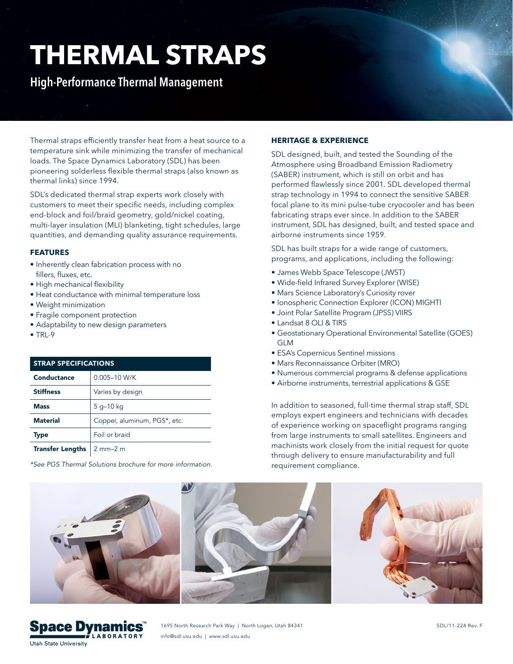# **THERMAL STRAPS**

**High-Performance Thermal Management**

Thermal straps efficiently transfer heat from a heat source to a temperature sink while minimizing the transfer of mechanical loads. The Space Dynamics Laboratory (SDL) has been pioneering solderless flexible thermal straps (also known as thermal links) since 1994.

SDL's dedicated thermal strap experts work closely with customers to meet their specific needs, including complex end-block and foil/braid geometry, gold/nickel coating, multi-layer insulation (MLI) blanketing, tight schedules, large quantities, and demanding quality assurance requirements.

# **FEATURES**

- Inherently clean fabrication process with no fillers, fluxes, etc.
- High mechanical flexibility
- Heat conductance with minimal temperature loss
- Weight minimization
- Fragile component protection
- Adaptability to new design parameters
- $\bullet$  TRI-9

| <b>STRAP SPECIFICATIONS</b> |                              |
|-----------------------------|------------------------------|
| Conductance                 | 0.005-10 W/K                 |
| <b>Stiffness</b>            | Varies by design             |
| <b>Mass</b>                 | 5 g-10 kg                    |
| <b>Material</b>             | Copper, aluminum, PGS*, etc. |
| <b>Type</b>                 | Foil or braid                |
| <b>Transfer Lengths</b>     | $2$ mm $-2$ m                |

*\*See PGS Thermal Solutions brochure for more information.*

# **HERITAGE & EXPERIENCE**

SDL designed, built, and tested the Sounding of the Atmosphere using Broadband Emission Radiometry (SABER) instrument, which is still on orbit and has performed flawlessly since 2001. SDL developed thermal strap technology in 1994 to connect the sensitive SABER focal plane to its mini pulse-tube cryocooler and has been fabricating straps ever since. In addition to the SABER instrument, SDL has designed, built, and tested space and airborne instruments since 1959.

SDL has built straps for a wide range of customers, programs, and applications, including the following:

- James Webb Space Telescope (JWST)
- Wide-field Infrared Survey Explorer (WISE)
- Mars Science Laboratory's Curiosity rover
- Ionospheric Connection Explorer (ICON) MIGHTI
- Joint Polar Satellite Program (JPSS) VIIRS
- Landsat 8 OLI & TIRS
- Geostationary Operational Environmental Satellite (GOES) GLM
- ESA's Copernicus Sentinel missions
- Mars Reconnaissance Orbiter (MRO)
- Numerous commercial programs & defense applications
- Airborne instruments, terrestrial applications & GSE

In addition to seasoned, full-time thermal strap staff, SDL employs expert engineers and technicians with decades of experience working on spaceflight programs ranging from large instruments to small satellites. Engineers and machinists work closely from the initial request for quote through delivery to ensure manufacturability and full requirement compliance.



1695 North Research Park Way | North Logan, Utah 84341 info@sdl.usu.edu | www.sdl.usu.edu